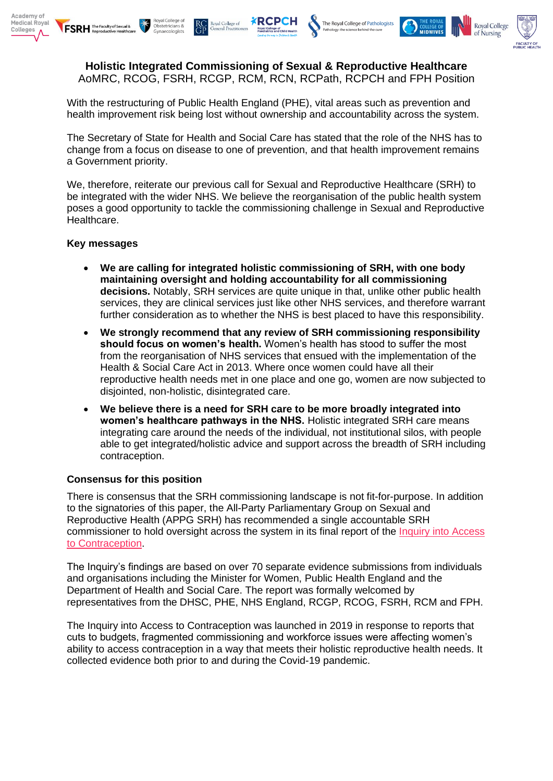





**Holistic Integrated Commissioning of Sexual & Reproductive Healthcare** AoMRC, RCOG, FSRH, RCGP, RCM, RCN, RCPath, RCPCH and FPH Position

**XRCPCH** 

With the restructuring of Public Health England (PHE), vital areas such as prevention and health improvement risk being lost without ownership and accountability across the system.

The Secretary of State for Health and Social Care has stated that the role of the NHS has to change from a focus on disease to one of prevention, and that health improvement remains a Government priority.

We, therefore, reiterate our previous call for Sexual and Reproductive Healthcare (SRH) to be integrated with the wider NHS. We believe the reorganisation of the public health system poses a good opportunity to tackle the commissioning challenge in Sexual and Reproductive Healthcare.

## **Key messages**

**FSRH** The Faculty of Sexual &

- **We are calling for integrated holistic commissioning of SRH, with one body maintaining oversight and holding accountability for all commissioning decisions.** Notably, SRH services are quite unique in that, unlike other public health services, they are clinical services just like other NHS services, and therefore warrant further consideration as to whether the NHS is best placed to have this responsibility.
- **We strongly recommend that any review of SRH commissioning responsibility should focus on women's health.** Women's health has stood to suffer the most from the reorganisation of NHS services that ensued with the implementation of the Health & Social Care Act in 2013. Where once women could have all their reproductive health needs met in one place and one go, women are now subjected to disjointed, non-holistic, disintegrated care.
- **We believe there is a need for SRH care to be more broadly integrated into women's healthcare pathways in the NHS.** Holistic integrated SRH care means integrating care around the needs of the individual, not institutional silos, with people able to get integrated/holistic advice and support across the breadth of SRH including contraception.

## **Consensus for this position**

There is consensus that the SRH commissioning landscape is not fit-for-purpose. In addition to the signatories of this paper, the All-Party Parliamentary Group on Sexual and Reproductive Health (APPG SRH) has recommended a single accountable SRH commissioner to hold oversight across the system in its final report of the *Inquiry into Access* [to Contraception.](https://www.fsrh.org/policy-and-media/all-party-parliamentary-group-on-sexual-and-reproductive-health/)

The Inquiry's findings are based on over 70 separate evidence submissions from individuals and organisations including the Minister for Women, Public Health England and the Department of Health and Social Care. The report was formally welcomed by representatives from the DHSC, PHE, NHS England, RCGP, RCOG, FSRH, RCM and FPH.

The Inquiry into Access to Contraception was launched in 2019 in response to reports that cuts to budgets, fragmented commissioning and workforce issues were affecting women's ability to access contraception in a way that meets their holistic reproductive health needs. It collected evidence both prior to and during the Covid-19 pandemic.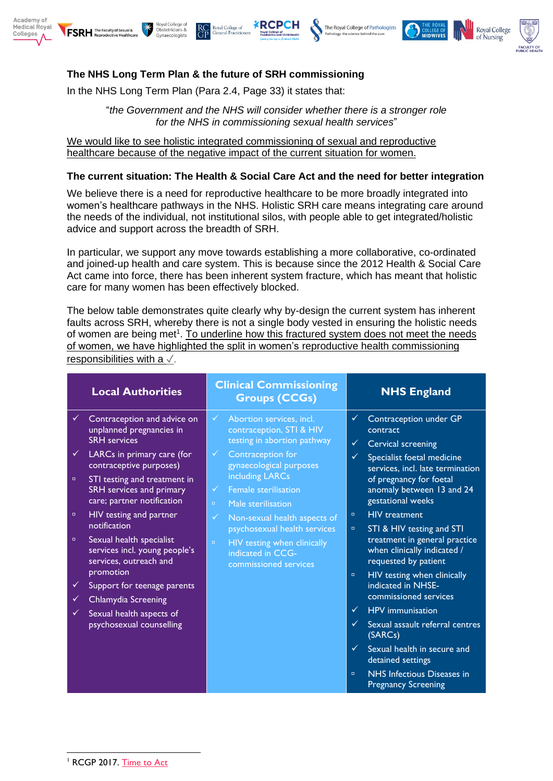









Royal College of

ral Practitic

In the NHS Long Term Plan (Para 2.4, Page 33) it states that:

"*the Government and the NHS will consider whether there is a stronger role for the NHS in commissioning sexual health services*"

We would like to see holistic integrated commissioning of sexual and reproductive healthcare because of the negative impact of the current situation for women.

## **The current situation: The Health & Social Care Act and the need for better integration**

We believe there is a need for reproductive healthcare to be more broadly integrated into women's healthcare pathways in the NHS. Holistic SRH care means integrating care around the needs of the individual, not institutional silos, with people able to get integrated/holistic advice and support across the breadth of SRH.

In particular, we support any move towards establishing a more collaborative, co-ordinated and joined-up health and care system. This is because since the 2012 Health & Social Care Act came into force, there has been inherent system fracture, which has meant that holistic care for many women has been effectively blocked.

The below table demonstrates quite clearly why by-design the current system has inherent faults across SRH, whereby there is not a single body vested in ensuring the holistic needs of women are being met<sup>1</sup>. To underline how this fractured system does not meet the needs of women, we have highlighted the split in women's reproductive health commissioning responsibilities with a ✓.

|                             | <b>Local Authorities</b>                                                                                                                                                                                                                                                     | <b>Clinical Commissioning</b><br><b>Groups (CCGs)</b>                                                                                                                                                                                                                                                         | <b>NHS England</b>                                                                                                                                                                                                                                                                                                           |
|-----------------------------|------------------------------------------------------------------------------------------------------------------------------------------------------------------------------------------------------------------------------------------------------------------------------|---------------------------------------------------------------------------------------------------------------------------------------------------------------------------------------------------------------------------------------------------------------------------------------------------------------|------------------------------------------------------------------------------------------------------------------------------------------------------------------------------------------------------------------------------------------------------------------------------------------------------------------------------|
| $\checkmark$<br>o<br>$\Box$ | Contraception and advice on<br>unplanned pregnancies in<br><b>SRH</b> services<br>LARCs in primary care (for<br>contraceptive purposes)<br>STI testing and treatment in<br>SRH services and primary<br>care; partner notification<br>HIV testing and partner<br>notification | Abortion services, incl.<br>✓<br>contraception, STI & HIV<br>testing in abortion pathway<br>Contraception for<br>$\checkmark$<br>gynaecological purposes<br>including LARCs<br>Female sterilisation<br>✓<br>Male sterilisation<br>$\Box$<br>Non-sexual health aspects of<br>✓<br>psychosexual health services | Contraception under GP<br>✓<br>contract<br><b>Cervical screening</b><br>$\checkmark$<br>Specialist foetal medicine<br>$\checkmark$<br>services, incl. late termination<br>of pregnancy for foetal<br>anomaly between 13 and 24<br>gestational weeks<br><b>HIV</b> treatment<br>$\Box$<br>STI & HIV testing and STI<br>$\Box$ |
| o                           | Sexual health specialist<br>services incl. young people's<br>services, outreach and<br>promotion                                                                                                                                                                             | HIV testing when clinically<br>$\Box$<br>indicated in CCG-<br>commissioned services                                                                                                                                                                                                                           | treatment in general practice<br>when clinically indicated /<br>requested by patient<br>HIV testing when clinically<br>$\Box$                                                                                                                                                                                                |
| ✓                           | Support for teenage parents<br><b>Chlamydia Screening</b>                                                                                                                                                                                                                    |                                                                                                                                                                                                                                                                                                               | indicated in NHSE-<br>commissioned services                                                                                                                                                                                                                                                                                  |
| ✓                           | Sexual health aspects of<br>psychosexual counselling                                                                                                                                                                                                                         |                                                                                                                                                                                                                                                                                                               | <b>HPV</b> immunisation<br>✓<br>Sexual assault referral centres<br>✓<br>(SARCs)<br>Sexual health in secure and<br>$\checkmark$<br>detained settings<br>NHS Infectious Diseases in<br>$\Box$<br><b>Pregnancy Screening</b>                                                                                                    |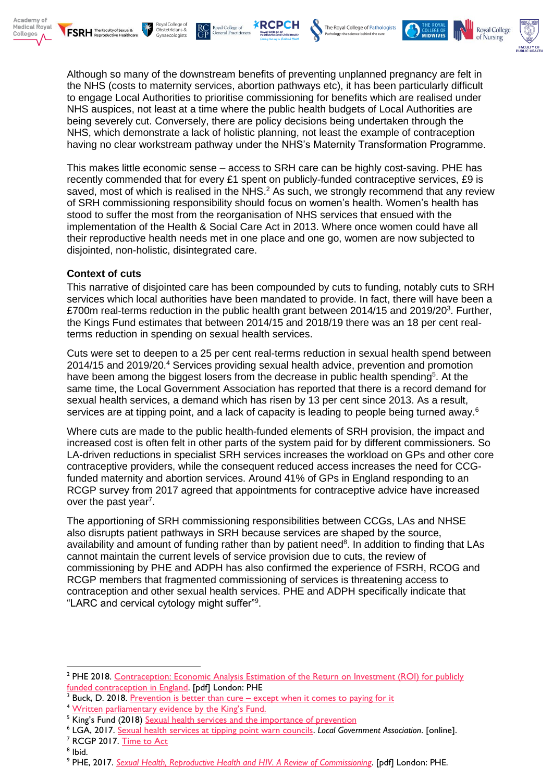





The Royal College of Pathologists





Although so many of the downstream benefits of preventing unplanned pregnancy are felt in the NHS (costs to maternity services, abortion pathways etc), it has been particularly difficult to engage Local Authorities to prioritise commissioning for benefits which are realised under NHS auspices, not least at a time where the public health budgets of Local Authorities are being severely cut. Conversely, there are policy decisions being undertaken through the NHS, which demonstrate a lack of holistic planning, not least the example of contraception having no clear workstream pathway under the NHS's Maternity Transformation Programme.

This makes little economic sense – access to SRH care can be highly cost-saving. PHE has recently commended that for every £1 spent on publicly-funded contraceptive services, £9 is saved, most of which is realised in the NHS.<sup>2</sup> As such, we strongly recommend that any review of SRH commissioning responsibility should focus on women's health. Women's health has stood to suffer the most from the reorganisation of NHS services that ensued with the implementation of the Health & Social Care Act in 2013. Where once women could have all their reproductive health needs met in one place and one go, women are now subjected to disjointed, non-holistic, disintegrated care.

# **Context of cuts**

This narrative of disjointed care has been compounded by cuts to funding, notably cuts to SRH services which local authorities have been mandated to provide. In fact, there will have been a £700m real-terms reduction in the public health grant between 2014/15 and 2019/20<sup>3</sup>. Further, the Kings Fund estimates that between 2014/15 and 2018/19 there was an 18 per cent realterms reduction in spending on sexual health services.

Cuts were set to deepen to a 25 per cent real-terms reduction in sexual health spend between 2014/15 and 2019/20.<sup>4</sup> Services providing sexual health advice, prevention and promotion have been among the biggest losers from the decrease in public health spending<sup>5</sup>. At the same time, the Local Government Association has reported that there is a record demand for sexual health services, a demand which has risen by 13 per cent since 2013. As a result, services are at tipping point, and a lack of capacity is leading to people being turned away.<sup>6</sup>

Where cuts are made to the public health-funded elements of SRH provision, the impact and increased cost is often felt in other parts of the system paid for by different commissioners. So LA-driven reductions in specialist SRH services increases the workload on GPs and other core contraceptive providers, while the consequent reduced access increases the need for CCGfunded maternity and abortion services. Around 41% of GPs in England responding to an RCGP survey from 2017 agreed that appointments for contraceptive advice have increased over the past year<sup>7</sup>.

The apportioning of SRH commissioning responsibilities between CCGs, LAs and NHSE also disrupts patient pathways in SRH because services are shaped by the source, availability and amount of funding rather than by patient need<sup>8</sup>. In addition to finding that LAs cannot maintain the current levels of service provision due to cuts, the review of commissioning by PHE and ADPH has also confirmed the experience of FSRH, RCOG and RCGP members that fragmented commissioning of services is threatening access to contraception and other sexual health services. PHE and ADPH specifically indicate that "LARC and cervical cytology might suffer"<sup>9</sup> .

<sup>7</sup> RCGP 2017. [Time to Act](https://www.rcgp.org.uk/policy/rcgp-policy-areas/maternity-care.aspx)

<sup>&</sup>lt;sup>2</sup> PHE 2018. Contraception: Economic Analysis Estimation of the Return on Investment (ROI) for publicly [funded contraception in England.](https://www.gov.uk/government/publications/contraceptive-services-estimating-the-return-on-investment?utm_source=26490afe-f039-4007-ba27-6f9971c3ce5d&utm_medium=email&utm_campaign=govuk-notifications&utm_content=immediate) [pdf] London: PHE

<sup>&</sup>lt;sup>3</sup> Buck, D. 2018. Prevention is better than cure – [except when it comes to paying for it](https://www.kingsfund.org.uk/blog/2018/11/prevention-better-cure-except-when-it-comes-paying-it)

<sup>&</sup>lt;sup>4</sup> Written parliamentary ev[idence by the King's Fund.](http://data.parliament.uk/writtenevidence/committeeevidence.svc/evidencedocument/health-and-social-care-committee/sexual-health/written/91508.html)

<sup>&</sup>lt;sup>5</sup> King's Fund (2018) [Sexual health services and the importance of prevention](https://www.kingsfund.org.uk/blog/2018/12/sexual-health-services-and-importance-prevention)

<sup>6</sup> LGA, 2017. [Sexual health services at tipping point warn councils.](https://www.local.gov.uk/about/news/sexual-health-services-tipping-point-warn-councils) *Local Government Association*. [online].

<sup>8</sup> Ibid.

<sup>9</sup> PHE, 2017. *[Sexual Health, Reproductive Health and HIV. A Review of Commissioning](https://www.gov.uk/government/publications/sexual-health-reproductive-health-and-hiv-commissioning-review)*. [pdf] London: PHE.